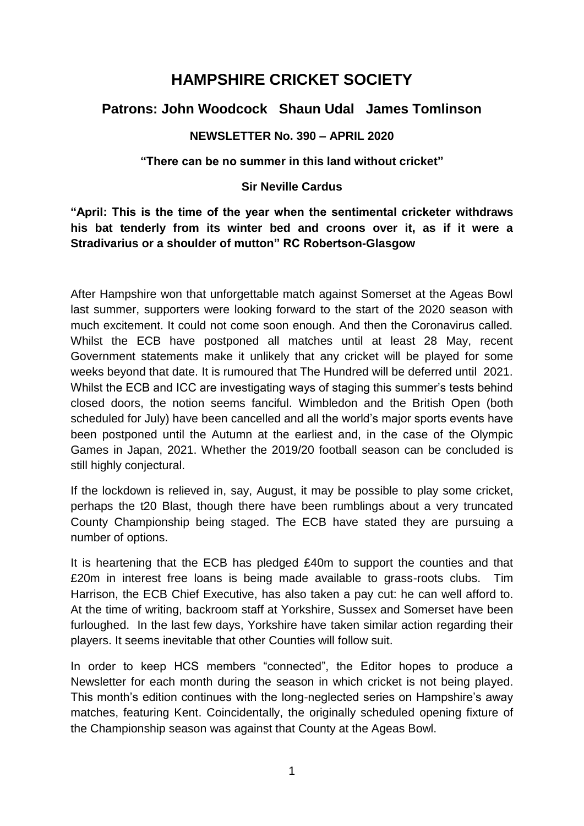# **HAMPSHIRE CRICKET SOCIETY**

# **Patrons: John Woodcock Shaun Udal James Tomlinson**

# **NEWSLETTER No. 390 – APRIL 2020**

# **"There can be no summer in this land without cricket"**

# **Sir Neville Cardus**

# **"April: This is the time of the year when the sentimental cricketer withdraws his bat tenderly from its winter bed and croons over it, as if it were a Stradivarius or a shoulder of mutton" RC Robertson-Glasgow**

After Hampshire won that unforgettable match against Somerset at the Ageas Bowl last summer, supporters were looking forward to the start of the 2020 season with much excitement. It could not come soon enough. And then the Coronavirus called. Whilst the ECB have postponed all matches until at least 28 May, recent Government statements make it unlikely that any cricket will be played for some weeks beyond that date. It is rumoured that The Hundred will be deferred until 2021. Whilst the ECB and ICC are investigating ways of staging this summer's tests behind closed doors, the notion seems fanciful. Wimbledon and the British Open (both scheduled for July) have been cancelled and all the world's major sports events have been postponed until the Autumn at the earliest and, in the case of the Olympic Games in Japan, 2021. Whether the 2019/20 football season can be concluded is still highly conjectural.

If the lockdown is relieved in, say, August, it may be possible to play some cricket, perhaps the t20 Blast, though there have been rumblings about a very truncated County Championship being staged. The ECB have stated they are pursuing a number of options.

It is heartening that the ECB has pledged £40m to support the counties and that £20m in interest free loans is being made available to grass-roots clubs. Tim Harrison, the ECB Chief Executive, has also taken a pay cut: he can well afford to. At the time of writing, backroom staff at Yorkshire, Sussex and Somerset have been furloughed. In the last few days, Yorkshire have taken similar action regarding their players. It seems inevitable that other Counties will follow suit.

In order to keep HCS members "connected", the Editor hopes to produce a Newsletter for each month during the season in which cricket is not being played. This month's edition continues with the long-neglected series on Hampshire's away matches, featuring Kent. Coincidentally, the originally scheduled opening fixture of the Championship season was against that County at the Ageas Bowl.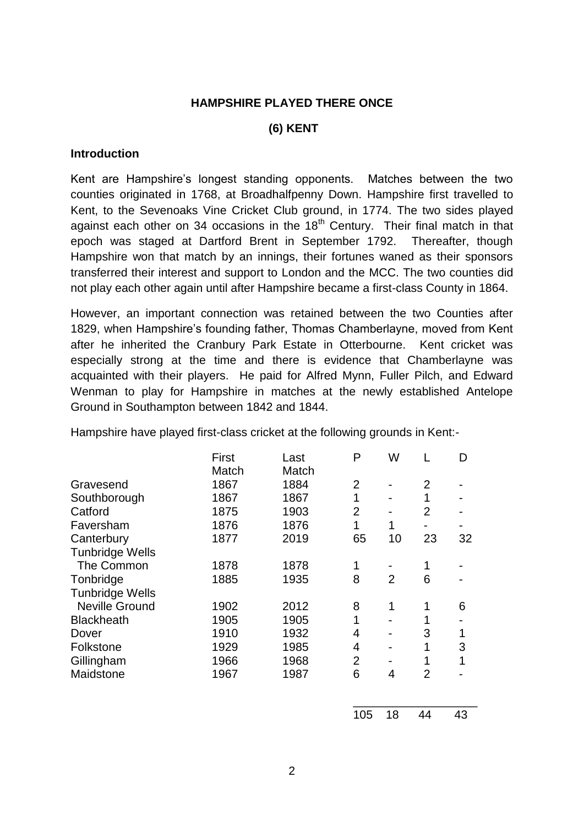# **HAMPSHIRE PLAYED THERE ONCE**

### **(6) KENT**

#### **Introduction**

Kent are Hampshire's longest standing opponents. Matches between the two counties originated in 1768, at Broadhalfpenny Down. Hampshire first travelled to Kent, to the Sevenoaks Vine Cricket Club ground, in 1774. The two sides played against each other on 34 occasions in the  $18<sup>th</sup>$  Century. Their final match in that epoch was staged at Dartford Brent in September 1792. Thereafter, though Hampshire won that match by an innings, their fortunes waned as their sponsors transferred their interest and support to London and the MCC. The two counties did not play each other again until after Hampshire became a first-class County in 1864.

However, an important connection was retained between the two Counties after 1829, when Hampshire's founding father, Thomas Chamberlayne, moved from Kent after he inherited the Cranbury Park Estate in Otterbourne. Kent cricket was especially strong at the time and there is evidence that Chamberlayne was acquainted with their players. He paid for Alfred Mynn, Fuller Pilch, and Edward Wenman to play for Hampshire in matches at the newly established Antelope Ground in Southampton between 1842 and 1844.

Hampshire have played first-class cricket at the following grounds in Kent:-

|                        | First<br>Match | Last<br>Match | P              | W  |                | D  |
|------------------------|----------------|---------------|----------------|----|----------------|----|
| Gravesend              | 1867           | 1884          | $\overline{2}$ |    | 2              |    |
| Southborough           | 1867           | 1867          |                |    |                |    |
| Catford                | 1875           | 1903          | $\overline{2}$ |    | $\overline{2}$ |    |
| Faversham              | 1876           | 1876          | 1              | 1  |                |    |
| Canterbury             | 1877           | 2019          | 65             | 10 | 23             | 32 |
| <b>Tunbridge Wells</b> |                |               |                |    |                |    |
| The Common             | 1878           | 1878          | 1              |    | 1              |    |
| Tonbridge              | 1885           | 1935          | 8              | 2  | 6              |    |
| <b>Tunbridge Wells</b> |                |               |                |    |                |    |
| <b>Neville Ground</b>  | 1902           | 2012          | 8              | 1  |                | 6  |
| <b>Blackheath</b>      | 1905           | 1905          | 1              |    |                |    |
| Dover                  | 1910           | 1932          | 4              |    | 3              | 1  |
| Folkstone              | 1929           | 1985          | 4              |    | 1              | 3  |
| Gillingham             | 1966           | 1968          | $\overline{2}$ |    |                | 1  |
| Maidstone              | 1967           | 1987          | 6              | 4  | 2              |    |
|                        |                |               |                |    |                |    |
|                        |                |               |                |    |                |    |

| 105 | 18 | 44 | 43 |
|-----|----|----|----|
|     |    |    |    |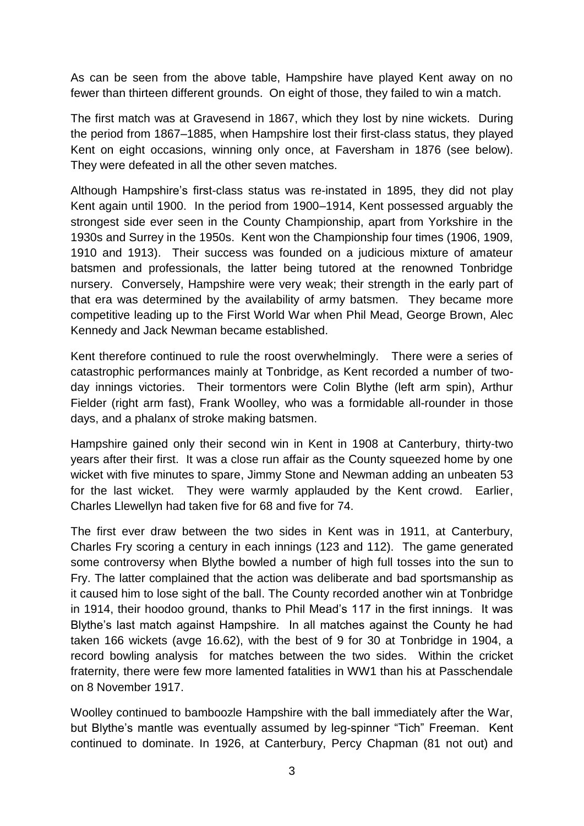As can be seen from the above table, Hampshire have played Kent away on no fewer than thirteen different grounds. On eight of those, they failed to win a match.

The first match was at Gravesend in 1867, which they lost by nine wickets. During the period from 1867–1885, when Hampshire lost their first-class status, they played Kent on eight occasions, winning only once, at Faversham in 1876 (see below). They were defeated in all the other seven matches.

Although Hampshire's first-class status was re-instated in 1895, they did not play Kent again until 1900. In the period from 1900–1914, Kent possessed arguably the strongest side ever seen in the County Championship, apart from Yorkshire in the 1930s and Surrey in the 1950s. Kent won the Championship four times (1906, 1909, 1910 and 1913). Their success was founded on a judicious mixture of amateur batsmen and professionals, the latter being tutored at the renowned Tonbridge nursery. Conversely, Hampshire were very weak; their strength in the early part of that era was determined by the availability of army batsmen. They became more competitive leading up to the First World War when Phil Mead, George Brown, Alec Kennedy and Jack Newman became established.

Kent therefore continued to rule the roost overwhelmingly. There were a series of catastrophic performances mainly at Tonbridge, as Kent recorded a number of twoday innings victories. Their tormentors were Colin Blythe (left arm spin), Arthur Fielder (right arm fast), Frank Woolley, who was a formidable all-rounder in those days, and a phalanx of stroke making batsmen.

Hampshire gained only their second win in Kent in 1908 at Canterbury, thirty-two years after their first. It was a close run affair as the County squeezed home by one wicket with five minutes to spare, Jimmy Stone and Newman adding an unbeaten 53 for the last wicket. They were warmly applauded by the Kent crowd. Earlier, Charles Llewellyn had taken five for 68 and five for 74.

The first ever draw between the two sides in Kent was in 1911, at Canterbury, Charles Fry scoring a century in each innings (123 and 112). The game generated some controversy when Blythe bowled a number of high full tosses into the sun to Fry. The latter complained that the action was deliberate and bad sportsmanship as it caused him to lose sight of the ball. The County recorded another win at Tonbridge in 1914, their hoodoo ground, thanks to Phil Mead's 117 in the first innings. It was Blythe's last match against Hampshire. In all matches against the County he had taken 166 wickets (avge 16.62), with the best of 9 for 30 at Tonbridge in 1904, a record bowling analysis for matches between the two sides. Within the cricket fraternity, there were few more lamented fatalities in WW1 than his at Passchendale on 8 November 1917.

Woolley continued to bamboozle Hampshire with the ball immediately after the War, but Blythe's mantle was eventually assumed by leg-spinner "Tich" Freeman. Kent continued to dominate. In 1926, at Canterbury, Percy Chapman (81 not out) and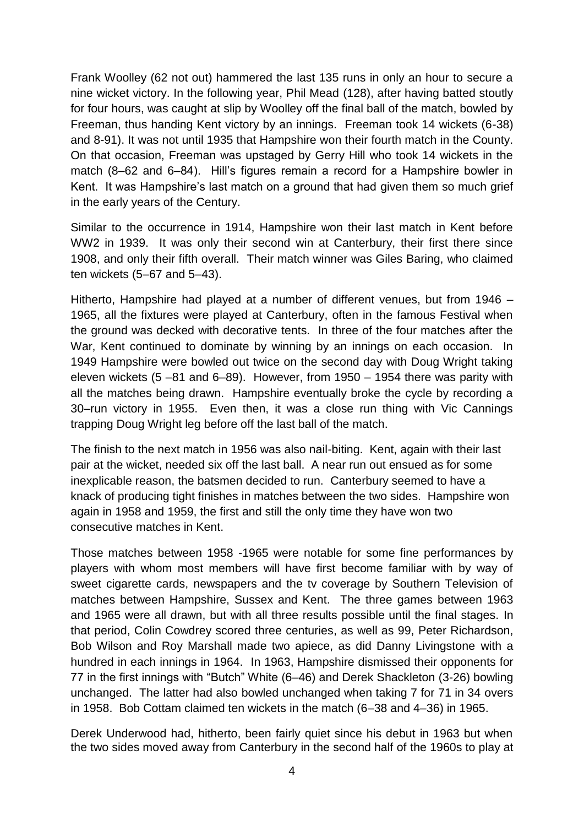Frank Woolley (62 not out) hammered the last 135 runs in only an hour to secure a nine wicket victory. In the following year, Phil Mead (128), after having batted stoutly for four hours, was caught at slip by Woolley off the final ball of the match, bowled by Freeman, thus handing Kent victory by an innings. Freeman took 14 wickets (6-38) and 8-91). It was not until 1935 that Hampshire won their fourth match in the County. On that occasion, Freeman was upstaged by Gerry Hill who took 14 wickets in the match (8–62 and 6–84). Hill's figures remain a record for a Hampshire bowler in Kent. It was Hampshire's last match on a ground that had given them so much grief in the early years of the Century.

Similar to the occurrence in 1914, Hampshire won their last match in Kent before WW2 in 1939. It was only their second win at Canterbury, their first there since 1908, and only their fifth overall. Their match winner was Giles Baring, who claimed ten wickets (5–67 and 5–43).

Hitherto, Hampshire had played at a number of different venues, but from 1946 – 1965, all the fixtures were played at Canterbury, often in the famous Festival when the ground was decked with decorative tents. In three of the four matches after the War, Kent continued to dominate by winning by an innings on each occasion. In 1949 Hampshire were bowled out twice on the second day with Doug Wright taking eleven wickets (5 –81 and 6–89). However, from 1950 – 1954 there was parity with all the matches being drawn. Hampshire eventually broke the cycle by recording a 30–run victory in 1955. Even then, it was a close run thing with Vic Cannings trapping Doug Wright leg before off the last ball of the match.

The finish to the next match in 1956 was also nail-biting. Kent, again with their last pair at the wicket, needed six off the last ball. A near run out ensued as for some inexplicable reason, the batsmen decided to run. Canterbury seemed to have a knack of producing tight finishes in matches between the two sides. Hampshire won again in 1958 and 1959, the first and still the only time they have won two consecutive matches in Kent.

Those matches between 1958 -1965 were notable for some fine performances by players with whom most members will have first become familiar with by way of sweet cigarette cards, newspapers and the tv coverage by Southern Television of matches between Hampshire, Sussex and Kent. The three games between 1963 and 1965 were all drawn, but with all three results possible until the final stages. In that period, Colin Cowdrey scored three centuries, as well as 99, Peter Richardson, Bob Wilson and Roy Marshall made two apiece, as did Danny Livingstone with a hundred in each innings in 1964. In 1963, Hampshire dismissed their opponents for 77 in the first innings with "Butch" White (6–46) and Derek Shackleton (3-26) bowling unchanged. The latter had also bowled unchanged when taking 7 for 71 in 34 overs in 1958. Bob Cottam claimed ten wickets in the match (6–38 and 4–36) in 1965.

Derek Underwood had, hitherto, been fairly quiet since his debut in 1963 but when the two sides moved away from Canterbury in the second half of the 1960s to play at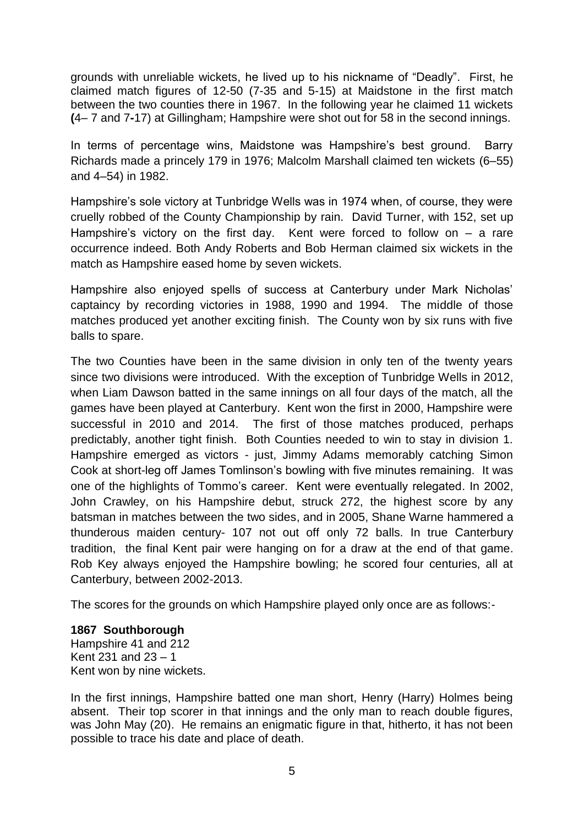grounds with unreliable wickets, he lived up to his nickname of "Deadly". First, he claimed match figures of 12-50 (7-35 and 5-15) at Maidstone in the first match between the two counties there in 1967. In the following year he claimed 11 wickets **(**4– 7 and 7**-**17) at Gillingham; Hampshire were shot out for 58 in the second innings.

In terms of percentage wins, Maidstone was Hampshire's best ground. Barry Richards made a princely 179 in 1976; Malcolm Marshall claimed ten wickets (6–55) and 4–54) in 1982.

Hampshire's sole victory at Tunbridge Wells was in 1974 when, of course, they were cruelly robbed of the County Championship by rain. David Turner, with 152, set up Hampshire's victory on the first day. Kent were forced to follow on – a rare occurrence indeed. Both Andy Roberts and Bob Herman claimed six wickets in the match as Hampshire eased home by seven wickets.

Hampshire also enjoyed spells of success at Canterbury under Mark Nicholas' captaincy by recording victories in 1988, 1990 and 1994. The middle of those matches produced yet another exciting finish. The County won by six runs with five balls to spare.

The two Counties have been in the same division in only ten of the twenty years since two divisions were introduced. With the exception of Tunbridge Wells in 2012, when Liam Dawson batted in the same innings on all four days of the match, all the games have been played at Canterbury. Kent won the first in 2000, Hampshire were successful in 2010 and 2014. The first of those matches produced, perhaps predictably, another tight finish. Both Counties needed to win to stay in division 1. Hampshire emerged as victors - just, Jimmy Adams memorably catching Simon Cook at short-leg off James Tomlinson's bowling with five minutes remaining. It was one of the highlights of Tommo's career. Kent were eventually relegated. In 2002, John Crawley, on his Hampshire debut, struck 272, the highest score by any batsman in matches between the two sides, and in 2005, Shane Warne hammered a thunderous maiden century- 107 not out off only 72 balls. In true Canterbury tradition, the final Kent pair were hanging on for a draw at the end of that game. Rob Key always enjoyed the Hampshire bowling; he scored four centuries, all at Canterbury, between 2002-2013.

The scores for the grounds on which Hampshire played only once are as follows:-

# **1867 Southborough**

Hampshire 41 and 212 Kent 231 and 23 – 1 Kent won by nine wickets.

In the first innings, Hampshire batted one man short, Henry (Harry) Holmes being absent. Their top scorer in that innings and the only man to reach double figures, was John May (20). He remains an enigmatic figure in that, hitherto, it has not been possible to trace his date and place of death.